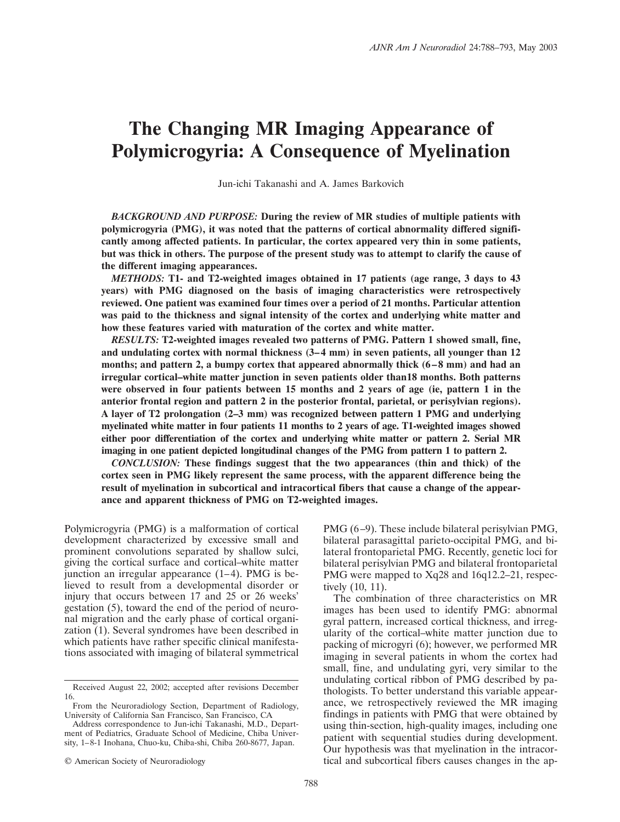# **The Changing MR Imaging Appearance of Polymicrogyria: A Consequence of Myelination**

Jun-ichi Takanashi and A. James Barkovich

*BACKGROUND AND PURPOSE:* **During the review of MR studies of multiple patients with polymicrogyria (PMG), it was noted that the patterns of cortical abnormality differed significantly among affected patients. In particular, the cortex appeared very thin in some patients, but was thick in others. The purpose of the present study was to attempt to clarify the cause of the different imaging appearances.**

*METHODS:* **T1- and T2-weighted images obtained in 17 patients (age range, 3 days to 43 years) with PMG diagnosed on the basis of imaging characteristics were retrospectively reviewed. One patient was examined four times over a period of 21 months. Particular attention was paid to the thickness and signal intensity of the cortex and underlying white matter and how these features varied with maturation of the cortex and white matter.**

*RESULTS:* **T2-weighted images revealed two patterns of PMG. Pattern 1 showed small, fine, and undulating cortex with normal thickness (3–4 mm) in seven patients, all younger than 12 months; and pattern 2, a bumpy cortex that appeared abnormally thick (6–8 mm) and had an irregular cortical–white matter junction in seven patients older than18 months. Both patterns were observed in four patients between 15 months and 2 years of age (ie, pattern 1 in the anterior frontal region and pattern 2 in the posterior frontal, parietal, or perisylvian regions). A layer of T2 prolongation (2–3 mm) was recognized between pattern 1 PMG and underlying myelinated white matter in four patients 11 months to 2 years of age. T1-weighted images showed either poor differentiation of the cortex and underlying white matter or pattern 2. Serial MR imaging in one patient depicted longitudinal changes of the PMG from pattern 1 to pattern 2.**

*CONCLUSION:* **These findings suggest that the two appearances (thin and thick) of the cortex seen in PMG likely represent the same process, with the apparent difference being the result of myelination in subcortical and intracortical fibers that cause a change of the appearance and apparent thickness of PMG on T2-weighted images.**

Polymicrogyria (PMG) is a malformation of cortical development characterized by excessive small and prominent convolutions separated by shallow sulci, giving the cortical surface and cortical–white matter junction an irregular appearance (1–4). PMG is believed to result from a developmental disorder or injury that occurs between 17 and 25 or 26 weeks' gestation (5), toward the end of the period of neuronal migration and the early phase of cortical organization (1). Several syndromes have been described in which patients have rather specific clinical manifestations associated with imaging of bilateral symmetrical PMG (6–9). These include bilateral perisylvian PMG, bilateral parasagittal parieto-occipital PMG, and bilateral frontoparietal PMG. Recently, genetic loci for bilateral perisylvian PMG and bilateral frontoparietal PMG were mapped to Xq28 and 16q12.2–21, respectively (10, 11).

The combination of three characteristics on MR images has been used to identify PMG: abnormal gyral pattern, increased cortical thickness, and irregularity of the cortical–white matter junction due to packing of microgyri (6); however, we performed MR imaging in several patients in whom the cortex had small, fine, and undulating gyri, very similar to the undulating cortical ribbon of PMG described by pathologists. To better understand this variable appearance, we retrospectively reviewed the MR imaging findings in patients with PMG that were obtained by using thin-section, high-quality images, including one patient with sequential studies during development. Our hypothesis was that myelination in the intracortical and subcortical fibers causes changes in the ap-

Received August 22, 2002; accepted after revisions December 16.

From the Neuroradiology Section, Department of Radiology, University of California San Francisco, San Francisco, CA

Address correspondence to Jun-ichi Takanashi, M.D., Department of Pediatrics, Graduate School of Medicine, Chiba University, 1–8-1 Inohana, Chuo-ku, Chiba-shi, Chiba 260-8677, Japan.

<sup>©</sup> American Society of Neuroradiology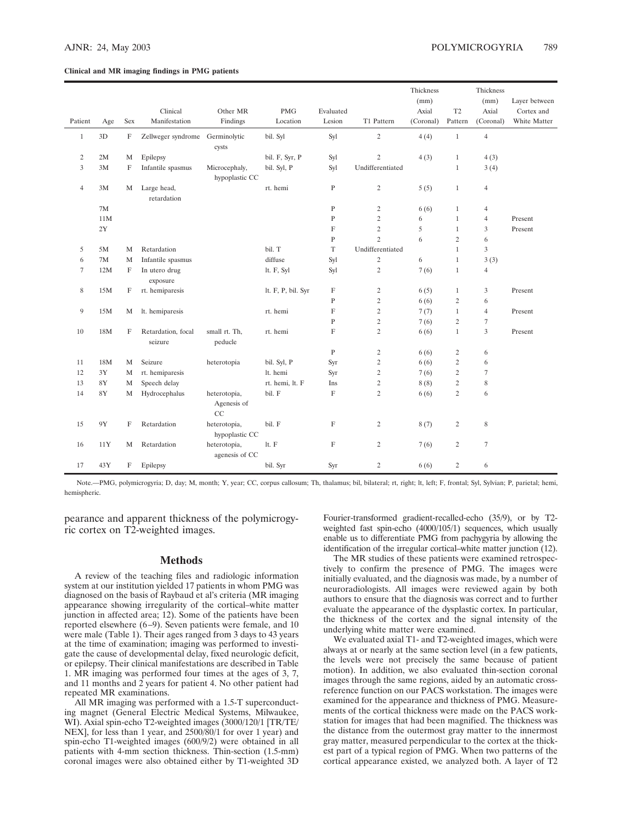#### **Clinical and MR imaging findings in PMG patients**

|                |               |             |                                 |                                 |                    |                           |                  | Thickness |                | Thickness      |               |
|----------------|---------------|-------------|---------------------------------|---------------------------------|--------------------|---------------------------|------------------|-----------|----------------|----------------|---------------|
|                |               |             |                                 |                                 |                    |                           |                  | (mm)      |                | (mm)           | Layer between |
|                |               |             | Clinical                        | Other MR                        | <b>PMG</b>         | Evaluated                 |                  | Axial     | T <sub>2</sub> | Axial          | Cortex and    |
| Patient        | Age           | Sex         | Manifestation                   | Findings                        | Location           | Lesion                    | T1 Pattern       | (Coronal) | Pattern        | (Coronal)      | White Matter  |
| $\mathbf{1}$   | 3D            | $\mathbf F$ | Zellweger syndrome Germinolytic | cysts                           | bil. Syl           | Syl                       | $\sqrt{2}$       | 4(4)      | $\mathbf{1}$   | $\overline{4}$ |               |
| $\sqrt{2}$     | 2M            | M           | Epilepsy                        |                                 | bil. F, Syr, P     | Syl                       | $\overline{c}$   | 4(3)      | $\mathbf{1}$   | 4(3)           |               |
| 3              | 3M            | F           | Infantile spasmus               | Microcephaly,<br>hypoplastic CC | bil. Syl, P        | Syl                       | Undifferentiated |           | $\mathbf{1}$   | 3(4)           |               |
| $\overline{4}$ | 3M            | M           | Large head,<br>retardation      |                                 | rt. hemi           | ${\bf P}$                 | $\sqrt{2}$       | 5(5)      | $\mathbf{1}$   | 4              |               |
|                | $7\mathrm{M}$ |             |                                 |                                 |                    | $\mathbf{P}$              | $\sqrt{2}$       | 6(6)      | $\mathbf{1}$   | 4              |               |
|                | 11M           |             |                                 |                                 |                    | $\mathbf P$               | $\sqrt{2}$       | 6         | $\mathbf{1}$   | $\overline{4}$ | Present       |
|                | 2Y            |             |                                 |                                 |                    | $\mathbf{F}$              | $\sqrt{2}$       | 5         | $\mathbf{1}$   | 3              | Present       |
|                |               |             |                                 |                                 |                    | $\mathbf{P}$              | $\overline{c}$   | 6         | $\overline{2}$ | 6              |               |
| 5              | 5M            | M           | Retardation                     |                                 | bil. T             | $\mathbf T$               | Undifferentiated |           | $\mathbf{1}$   | 3              |               |
| 6              | 7M            | M           | Infantile spasmus               |                                 | diffuse            | Syl                       | $\overline{c}$   | 6         | $\mathbf{1}$   | 3(3)           |               |
| $\tau$         | 12M           | F           | In utero drug<br>exposure       |                                 | lt. F, Syl         | Syl                       | $\overline{c}$   | 7(6)      | $\mathbf{1}$   | $\overline{4}$ |               |
| 8              | 15M           | F           | rt. hemiparesis                 |                                 | lt. F, P, bil. Syr | F                         | $\overline{2}$   | 6(5)      | $\mathbf{1}$   | 3              | Present       |
|                |               |             |                                 |                                 |                    | $\mathbf{P}$              | $\sqrt{2}$       | 6(6)      | $\sqrt{2}$     | 6              |               |
| 9              | 15M           | M           | lt. hemiparesis                 |                                 | rt. hemi           | F                         | $\overline{2}$   | 7(7)      | $\mathbf{1}$   | $\overline{4}$ | Present       |
|                |               |             |                                 |                                 |                    | $\mathbf{P}$              | $\overline{2}$   | 7(6)      | $\overline{2}$ | 7              |               |
| 10             | 18M           | F           | Retardation, focal<br>seizure   | small rt. Th,<br>peducle        | rt. hemi           | $\mathbf F$               | $\overline{c}$   | 6(6)      | $\mathbf{1}$   | 3              | Present       |
|                |               |             |                                 |                                 |                    | $\mathbf{P}$              | $\sqrt{2}$       | 6(6)      | $\sqrt{2}$     | 6              |               |
| 11             | 18M           | M           | Seizure                         | heterotopia                     | bil. Syl, P        | Syr                       | $\overline{c}$   | 6(6)      | $\sqrt{2}$     | 6              |               |
| 12             | 3Y            | M           | rt. hemiparesis                 |                                 | lt. hemi           | Syr                       | $\sqrt{2}$       | 7(6)      | $\sqrt{2}$     | $\tau$         |               |
| 13             | $8\mathrm{Y}$ | M           | Speech delay                    |                                 | rt. hemi, lt. F    | Ins                       | $\sqrt{2}$       | 8(8)      | $\sqrt{2}$     | 8              |               |
| 14             | $8\mathrm{Y}$ | M           | Hydrocephalus                   | heterotopia,                    | bil. F             | $\mathbf F$               | $\overline{c}$   | 6(6)      | $\sqrt{2}$     | 6              |               |
|                |               |             |                                 | Agenesis of<br>CC               |                    |                           |                  |           |                |                |               |
| 15             | $9{\rm Y}$    | F           | Retardation                     | heterotopia,<br>hypoplastic CC  | bil. F             | $\mathbf F$               | $\sqrt{2}$       | 8(7)      | $\sqrt{2}$     | 8              |               |
| 16             | 11Y           | М           | Retardation                     | heterotopia,<br>agenesis of CC  | lt. F              | $\boldsymbol{\mathrm{F}}$ | $\sqrt{2}$       | 7(6)      | $\sqrt{2}$     | $\tau$         |               |
| 17             | 43Y           | F           | Epilepsy                        |                                 | bil. Syr           | Syr                       | $\mathbf{2}$     | 6(6)      | $\sqrt{2}$     | 6              |               |

Note.—PMG, polymicrogyria; D, day; M, month; Y, year; CC, corpus callosum; Th, thalamus; bil, bilateral; rt, right; lt, left; F, frontal; Syl, Sylvian; P, parietal; hemi, hemispheric.

pearance and apparent thickness of the polymicrogyric cortex on T2-weighted images.

#### **Methods**

A review of the teaching files and radiologic information system at our institution yielded 17 patients in whom PMG was diagnosed on the basis of Raybaud et al's criteria (MR imaging appearance showing irregularity of the cortical–white matter junction in affected area; 12). Some of the patients have been reported elsewhere (6–9). Seven patients were female, and 10 were male (Table 1). Their ages ranged from 3 days to 43 years at the time of examination; imaging was performed to investigate the cause of developmental delay, fixed neurologic deficit, or epilepsy. Their clinical manifestations are described in Table 1. MR imaging was performed four times at the ages of 3, 7, and 11 months and 2 years for patient 4. No other patient had repeated MR examinations.

All MR imaging was performed with a 1.5-T superconducting magnet (General Electric Medical Systems, Milwaukee, WI). Axial spin-echo T2-weighted images (3000/120/1 [TR/TE/ NEX], for less than 1 year, and 2500/80/1 for over 1 year) and spin-echo T1-weighted images (600/9/2) were obtained in all patients with 4-mm section thickness. Thin-section (1.5-mm) coronal images were also obtained either by T1-weighted 3D Fourier-transformed gradient-recalled-echo (35/9), or by T2 weighted fast spin-echo (4000/105/1) sequences, which usually enable us to differentiate PMG from pachygyria by allowing the identification of the irregular cortical–white matter junction (12).

The MR studies of these patients were examined retrospectively to confirm the presence of PMG. The images were initially evaluated, and the diagnosis was made, by a number of neuroradiologists. All images were reviewed again by both authors to ensure that the diagnosis was correct and to further evaluate the appearance of the dysplastic cortex. In particular, the thickness of the cortex and the signal intensity of the underlying white matter were examined.

We evaluated axial T1- and T2-weighted images, which were always at or nearly at the same section level (in a few patients, the levels were not precisely the same because of patient motion). In addition, we also evaluated thin-section coronal images through the same regions, aided by an automatic crossreference function on our PACS workstation. The images were examined for the appearance and thickness of PMG. Measurements of the cortical thickness were made on the PACS workstation for images that had been magnified. The thickness was the distance from the outermost gray matter to the innermost gray matter, measured perpendicular to the cortex at the thickest part of a typical region of PMG. When two patterns of the cortical appearance existed, we analyzed both. A layer of T2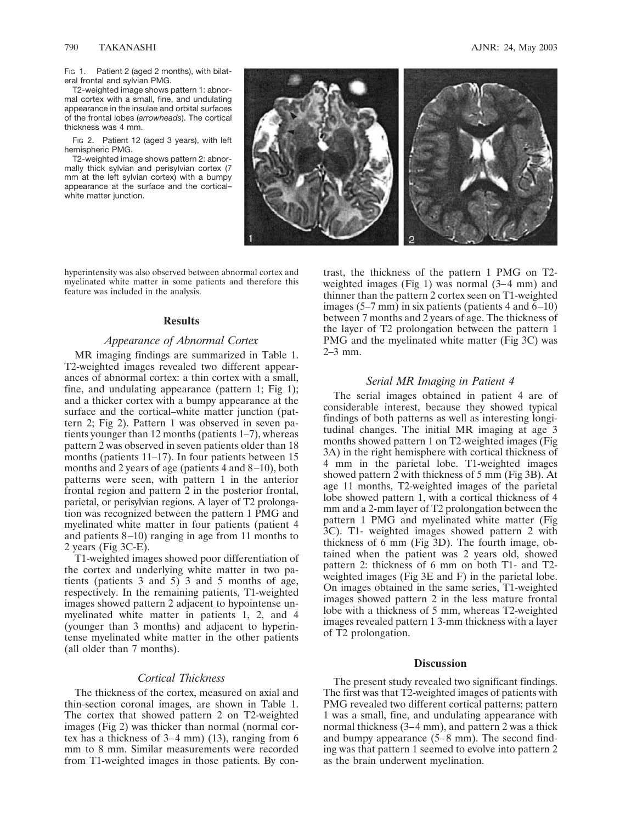Fig 1. Patient 2 (aged 2 months), with bilateral frontal and sylvian PMG.

T2-weighted image shows pattern 1: abnormal cortex with a small, fine, and undulating appearance in the insulae and orbital surfaces of the frontal lobes (*arrowheads*). The cortical thickness was 4 mm.

FIG 2. Patient 12 (aged 3 years), with left hemispheric PMG.

T2-weighted image shows pattern 2: abnormally thick sylvian and perisylvian cortex (7 mm at the left sylvian cortex) with a bumpy appearance at the surface and the cortical– white matter junction.



hyperintensity was also observed between abnormal cortex and myelinated white matter in some patients and therefore this feature was included in the analysis.

## **Results**

## *Appearance of Abnormal Cortex*

MR imaging findings are summarized in Table 1. T2-weighted images revealed two different appearances of abnormal cortex: a thin cortex with a small, fine, and undulating appearance (pattern 1; Fig 1); and a thicker cortex with a bumpy appearance at the surface and the cortical–white matter junction (pattern 2; Fig 2). Pattern 1 was observed in seven patients younger than 12 months (patients 1–7), whereas pattern 2 was observed in seven patients older than 18 months (patients 11–17). In four patients between 15 months and 2 years of age (patients 4 and 8–10), both patterns were seen, with pattern 1 in the anterior frontal region and pattern 2 in the posterior frontal, parietal, or perisylvian regions. A layer of T2 prolongation was recognized between the pattern 1 PMG and myelinated white matter in four patients (patient 4 and patients 8–10) ranging in age from 11 months to 2 years (Fig 3C-E).

T1-weighted images showed poor differentiation of the cortex and underlying white matter in two patients (patients 3 and  $5$ ) 3 and 5 months of age, respectively. In the remaining patients, T1-weighted images showed pattern 2 adjacent to hypointense unmyelinated white matter in patients 1, 2, and 4 (younger than 3 months) and adjacent to hyperintense myelinated white matter in the other patients (all older than 7 months).

## *Cortical Thickness*

The thickness of the cortex, measured on axial and thin-section coronal images, are shown in Table 1. The cortex that showed pattern 2 on T2-weighted images (Fig 2) was thicker than normal (normal cortex has a thickness of 3–4 mm) (13), ranging from 6 mm to 8 mm. Similar measurements were recorded from T1-weighted images in those patients. By con-

trast, the thickness of the pattern 1 PMG on T2 weighted images (Fig 1) was normal (3–4 mm) and thinner than the pattern 2 cortex seen on T1-weighted images  $(5-7 \text{ mm})$  in six patients (patients 4 and  $(6-10)$ ) between 7 months and 2 years of age. The thickness of the layer of T2 prolongation between the pattern 1 PMG and the myelinated white matter (Fig 3C) was 2–3 mm.

## *Serial MR Imaging in Patient 4*

The serial images obtained in patient 4 are of considerable interest, because they showed typical findings of both patterns as well as interesting longitudinal changes. The initial MR imaging at age 3 months showed pattern 1 on T2-weighted images (Fig 3A) in the right hemisphere with cortical thickness of 4 mm in the parietal lobe. T1-weighted images showed pattern 2 with thickness of 5 mm (Fig 3B). At age 11 months, T2-weighted images of the parietal lobe showed pattern 1, with a cortical thickness of 4 mm and a 2-mm layer of T2 prolongation between the pattern 1 PMG and myelinated white matter (Fig 3C). T1- weighted images showed pattern 2 with thickness of 6 mm (Fig 3D). The fourth image, obtained when the patient was 2 years old, showed pattern 2: thickness of 6 mm on both T1- and T2 weighted images (Fig 3E and F) in the parietal lobe. On images obtained in the same series, T1-weighted images showed pattern 2 in the less mature frontal lobe with a thickness of 5 mm, whereas T2-weighted images revealed pattern 1 3-mm thickness with a layer of T2 prolongation.

## **Discussion**

The present study revealed two significant findings. The first was that T2-weighted images of patients with PMG revealed two different cortical patterns; pattern 1 was a small, fine, and undulating appearance with normal thickness (3–4 mm), and pattern 2 was a thick and bumpy appearance (5–8 mm). The second finding was that pattern 1 seemed to evolve into pattern 2 as the brain underwent myelination.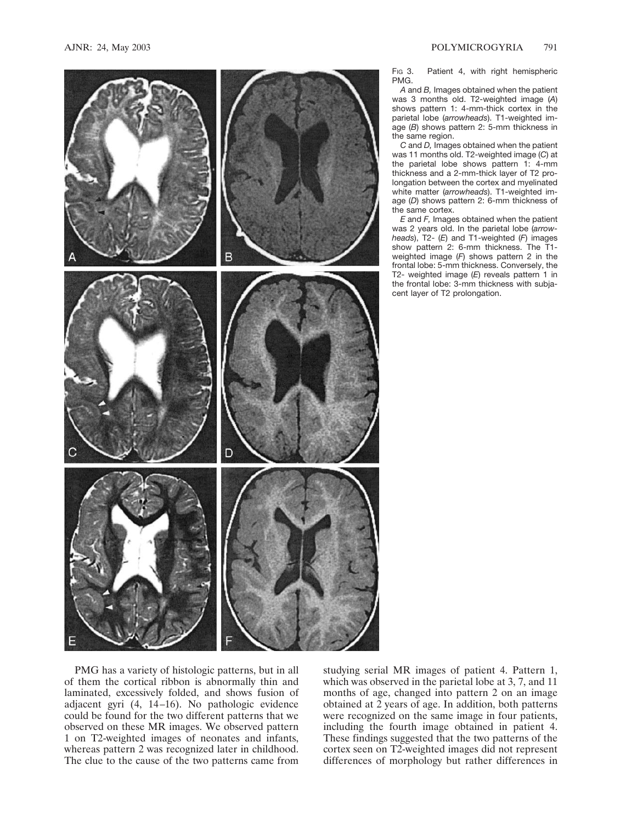

Fig 3. Patient 4, with right hemispheric PMG.

*A* and *B,* Images obtained when the patient was 3 months old. T2-weighted image (*A*) shows pattern 1: 4-mm-thick cortex in the parietal lobe (*arrowheads*). T1-weighted image (*B*) shows pattern 2: 5-mm thickness in the same region.

*C* and *D,* Images obtained when the patient was 11 months old. T2-weighted image (*C*) at the parietal lobe shows pattern 1: 4-mm thickness and a 2-mm-thick layer of T2 prolongation between the cortex and myelinated white matter (*arrowheads*). T1-weighted image (*D*) shows pattern 2: 6-mm thickness of the same cortex.

*E* and *F,* Images obtained when the patient was 2 years old. In the parietal lobe (*arrowheads*), T2- (*E*) and T1-weighted (*F*) images show pattern 2: 6-mm thickness. The T1 weighted image (*F*) shows pattern 2 in the frontal lobe: 5-mm thickness. Conversely, the T2- weighted image (*E*) reveals pattern 1 in the frontal lobe: 3-mm thickness with subjacent layer of T2 prolongation.

PMG has a variety of histologic patterns, but in all of them the cortical ribbon is abnormally thin and laminated, excessively folded, and shows fusion of adjacent gyri (4, 14–16). No pathologic evidence could be found for the two different patterns that we observed on these MR images. We observed pattern 1 on T2-weighted images of neonates and infants, whereas pattern 2 was recognized later in childhood. The clue to the cause of the two patterns came from

studying serial MR images of patient 4. Pattern 1, which was observed in the parietal lobe at 3, 7, and 11 months of age, changed into pattern 2 on an image obtained at 2 years of age. In addition, both patterns were recognized on the same image in four patients, including the fourth image obtained in patient 4. These findings suggested that the two patterns of the cortex seen on T2-weighted images did not represent differences of morphology but rather differences in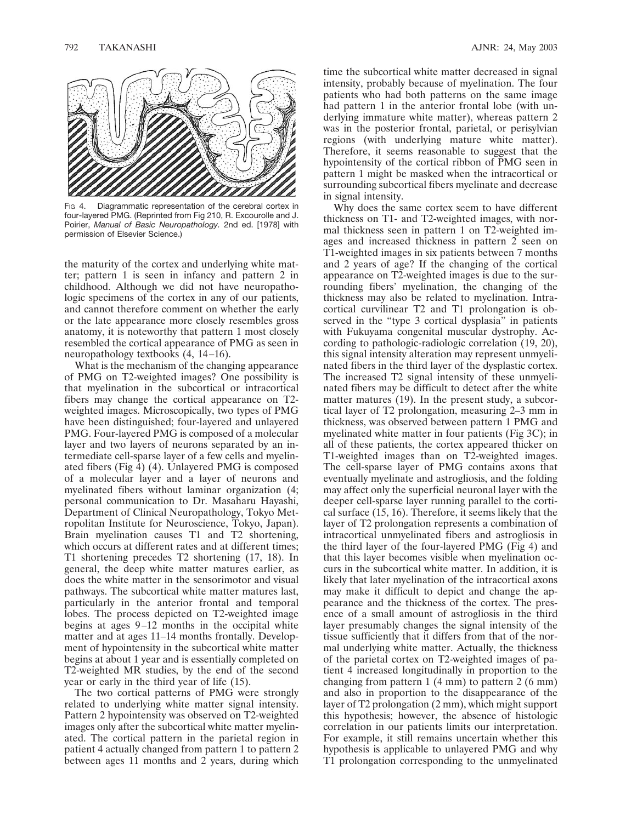

Fig. 4. Diagrammatic representation of the cerebral cortex in four-layered PMG. (Reprinted from Fig 210, R. Excourolle and J. Poirier, *Manual of Basic Neuropathology.* 2nd ed. [1978] with permission of Elsevier Science.)

the maturity of the cortex and underlying white matter; pattern 1 is seen in infancy and pattern 2 in childhood. Although we did not have neuropathologic specimens of the cortex in any of our patients, and cannot therefore comment on whether the early or the late appearance more closely resembles gross anatomy, it is noteworthy that pattern 1 most closely resembled the cortical appearance of PMG as seen in neuropathology textbooks (4, 14–16).

What is the mechanism of the changing appearance of PMG on T2-weighted images? One possibility is that myelination in the subcortical or intracortical fibers may change the cortical appearance on T2 weighted images. Microscopically, two types of PMG have been distinguished; four-layered and unlayered PMG. Four-layered PMG is composed of a molecular layer and two layers of neurons separated by an intermediate cell-sparse layer of a few cells and myelinated fibers (Fig  $\overline{4}$ ) (4). Unlayered PMG is composed of a molecular layer and a layer of neurons and myelinated fibers without laminar organization (4; personal communication to Dr. Masaharu Hayashi, Department of Clinical Neuropathology, Tokyo Metropolitan Institute for Neuroscience, Tokyo, Japan). Brain myelination causes T1 and T2 shortening, which occurs at different rates and at different times; T1 shortening precedes T2 shortening (17, 18). In general, the deep white matter matures earlier, as does the white matter in the sensorimotor and visual pathways. The subcortical white matter matures last, particularly in the anterior frontal and temporal lobes. The process depicted on T2-weighted image begins at ages 9–12 months in the occipital white matter and at ages 11–14 months frontally. Development of hypointensity in the subcortical white matter begins at about 1 year and is essentially completed on T2-weighted MR studies, by the end of the second year or early in the third year of life (15).

The two cortical patterns of PMG were strongly related to underlying white matter signal intensity. Pattern 2 hypointensity was observed on T2-weighted images only after the subcortical white matter myelinated. The cortical pattern in the parietal region in patient 4 actually changed from pattern 1 to pattern 2 between ages 11 months and 2 years, during which

time the subcortical white matter decreased in signal intensity, probably because of myelination. The four patients who had both patterns on the same image had pattern 1 in the anterior frontal lobe (with underlying immature white matter), whereas pattern 2 was in the posterior frontal, parietal, or perisylvian regions (with underlying mature white matter). Therefore, it seems reasonable to suggest that the hypointensity of the cortical ribbon of PMG seen in pattern 1 might be masked when the intracortical or surrounding subcortical fibers myelinate and decrease in signal intensity.

Why does the same cortex seem to have different thickness on T1- and T2-weighted images, with normal thickness seen in pattern 1 on T2-weighted images and increased thickness in pattern 2 seen on T1-weighted images in six patients between 7 months and 2 years of age? If the changing of the cortical appearance on T2-weighted images is due to the surrounding fibers' myelination, the changing of the thickness may also be related to myelination. Intracortical curvilinear T2 and T1 prolongation is observed in the "type 3 cortical dysplasia" in patients with Fukuyama congenital muscular dystrophy. According to pathologic-radiologic correlation (19, 20), this signal intensity alteration may represent unmyelinated fibers in the third layer of the dysplastic cortex. The increased T2 signal intensity of these unmyelinated fibers may be difficult to detect after the white matter matures (19). In the present study, a subcortical layer of T2 prolongation, measuring 2–3 mm in thickness, was observed between pattern 1 PMG and myelinated white matter in four patients (Fig 3C); in all of these patients, the cortex appeared thicker on T1-weighted images than on T2-weighted images. The cell-sparse layer of PMG contains axons that eventually myelinate and astrogliosis, and the folding may affect only the superficial neuronal layer with the deeper cell-sparse layer running parallel to the cortical surface (15, 16). Therefore, it seems likely that the layer of T2 prolongation represents a combination of intracortical unmyelinated fibers and astrogliosis in the third layer of the four-layered PMG (Fig 4) and that this layer becomes visible when myelination occurs in the subcortical white matter. In addition, it is likely that later myelination of the intracortical axons may make it difficult to depict and change the appearance and the thickness of the cortex. The presence of a small amount of astrogliosis in the third layer presumably changes the signal intensity of the tissue sufficiently that it differs from that of the normal underlying white matter. Actually, the thickness of the parietal cortex on T2-weighted images of patient 4 increased longitudinally in proportion to the changing from pattern 1 (4 mm) to pattern 2 (6 mm) and also in proportion to the disappearance of the layer of T2 prolongation (2 mm), which might support this hypothesis; however, the absence of histologic correlation in our patients limits our interpretation. For example, it still remains uncertain whether this hypothesis is applicable to unlayered PMG and why T1 prolongation corresponding to the unmyelinated